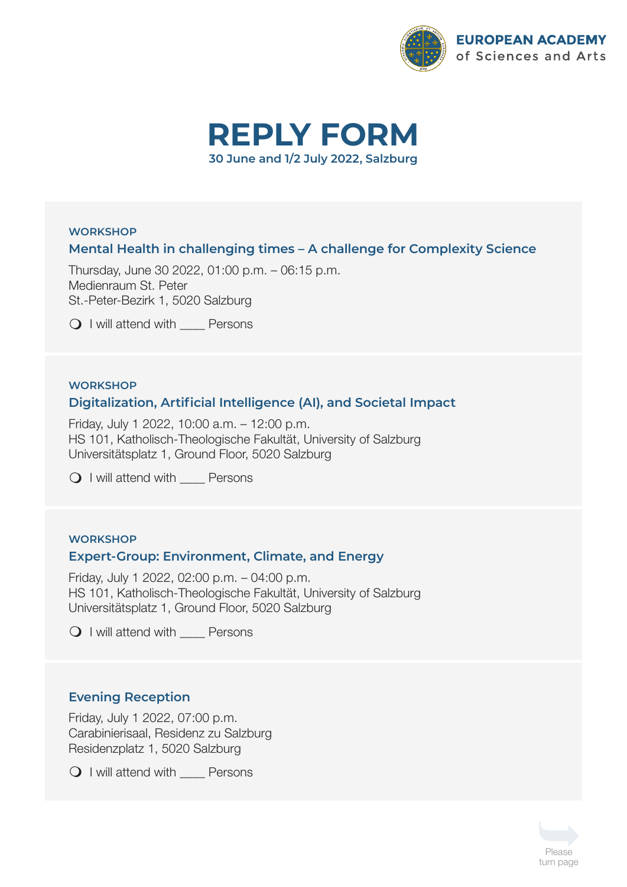



# **WORKSHOP Mental Health in challenging times – A challenge for Complexity Science**

Thursday, June 30 2022, 01:00 p.m. – 06:15 p.m. Medienraum St. Peter St.-Peter-Bezirk 1, 5020 Salzburg

Q I will attend with Persons

#### **WORKSHOP**

## **Digitalization, Artificial Intelligence (AI), and Societal Impact**

Friday, July 1 2022, 10:00 a.m. – 12:00 p.m. HS 101, Katholisch-Theologische Fakultät, University of Salzburg Universitätsplatz 1, Ground Floor, 5020 Salzburg

Q I will attend with Persons

## **WORKSHOP Expert-Group: Environment, Climate, and Energy**

Friday, July 1 2022, 02:00 p.m. – 04:00 p.m. HS 101, Katholisch-Theologische Fakultät, University of Salzburg Universitätsplatz 1, Ground Floor, 5020 Salzburg

Q I will attend with Persons

## **Evening Reception**

Friday, July 1 2022, 07:00 p.m. Carabinierisaal, Residenz zu Salzburg Residenzplatz 1, 5020 Salzburg

Q I will attend with <u>Come</u> Persons